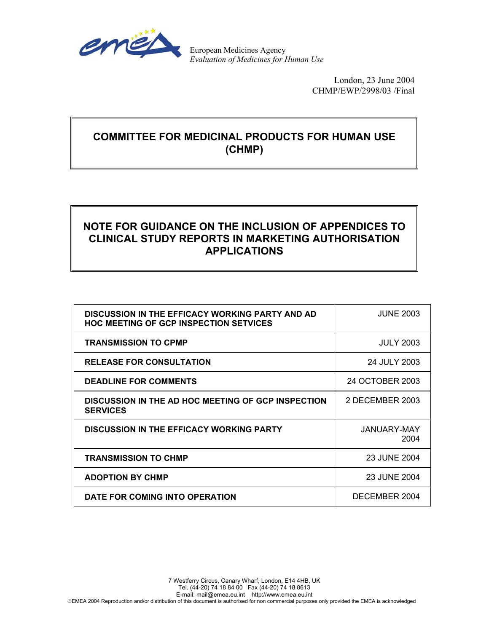

European Medicines Agency *Evaluation of Medicines for Human Use*

> London, 23 June 2004 CHMP/EWP/2998/03 /Final

## **COMMITTEE FOR MEDICINAL PRODUCTS FOR HUMAN USE (CHMP)**

# **NOTE FOR GUIDANCE ON THE INCLUSION OF APPENDICES TO CLINICAL STUDY REPORTS IN MARKETING AUTHORISATION APPLICATIONS**

| <b>DISCUSSION IN THE EFFICACY WORKING PARTY AND AD</b><br><b>HOC MEETING OF GCP INSPECTION SETVICES</b> | <b>JUNE 2003</b>    |
|---------------------------------------------------------------------------------------------------------|---------------------|
| <b>TRANSMISSION TO CPMP</b>                                                                             | <b>JULY 2003</b>    |
| <b>RELEASE FOR CONSULTATION</b>                                                                         | 24 JULY 2003        |
| <b>DEADLINE FOR COMMENTS</b>                                                                            | 24 OCTOBER 2003     |
| <b>DISCUSSION IN THE AD HOC MEETING OF GCP INSPECTION</b><br><b>SERVICES</b>                            | 2 DECEMBER 2003     |
| <b>DISCUSSION IN THE EFFICACY WORKING PARTY</b>                                                         | JANUARY-MAY<br>2004 |
| <b>TRANSMISSION TO CHMP</b>                                                                             | 23 JUNE 2004        |
| <b>ADOPTION BY CHMP</b>                                                                                 | 23 JUNE 2004        |
| DATE FOR COMING INTO OPERATION                                                                          | DECEMBER 2004       |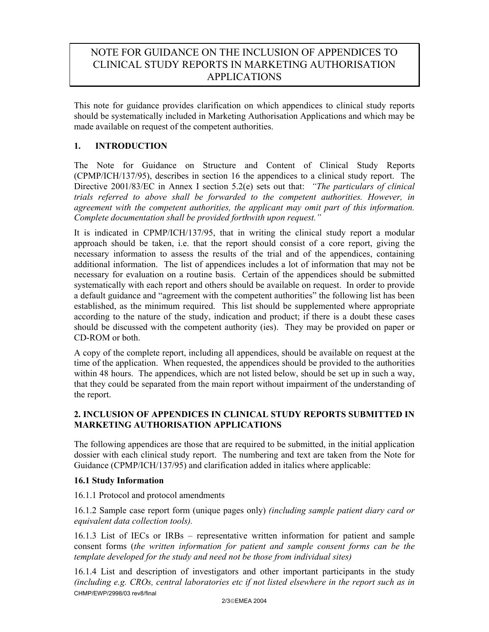## NOTE FOR GUIDANCE ON THE INCLUSION OF APPENDICES TO CLINICAL STUDY REPORTS IN MARKETING AUTHORISATION APPLICATIONS

This note for guidance provides clarification on which appendices to clinical study reports should be systematically included in Marketing Authorisation Applications and which may be made available on request of the competent authorities.

### **1. INTRODUCTION**

The Note for Guidance on Structure and Content of Clinical Study Reports (CPMP/ICH/137/95), describes in section 16 the appendices to a clinical study report. The Directive 2001/83/EC in Annex I section 5.2(e) sets out that: *"The particulars of clinical trials referred to above shall be forwarded to the competent authorities. However, in agreement with the competent authorities, the applicant may omit part of this information. Complete documentation shall be provided forthwith upon request."* 

It is indicated in CPMP/ICH/137/95, that in writing the clinical study report a modular approach should be taken, i.e. that the report should consist of a core report, giving the necessary information to assess the results of the trial and of the appendices, containing additional information. The list of appendices includes a lot of information that may not be necessary for evaluation on a routine basis. Certain of the appendices should be submitted systematically with each report and others should be available on request. In order to provide a default guidance and "agreement with the competent authorities" the following list has been established, as the minimum required. This list should be supplemented where appropriate according to the nature of the study, indication and product; if there is a doubt these cases should be discussed with the competent authority (ies). They may be provided on paper or CD-ROM or both.

A copy of the complete report, including all appendices, should be available on request at the time of the application. When requested, the appendices should be provided to the authorities within 48 hours. The appendices, which are not listed below, should be set up in such a way, that they could be separated from the main report without impairment of the understanding of the report.

### **2. INCLUSION OF APPENDICES IN CLINICAL STUDY REPORTS SUBMITTED IN MARKETING AUTHORISATION APPLICATIONS**

The following appendices are those that are required to be submitted, in the initial application dossier with each clinical study report. The numbering and text are taken from the Note for Guidance (CPMP/ICH/137/95) and clarification added in italics where applicable:

#### **16.1 Study Information**

16.1.1 Protocol and protocol amendments

16.1.2 Sample case report form (unique pages only) *(including sample patient diary card or equivalent data collection tools).* 

16.1.3 List of IECs or IRBs – representative written information for patient and sample consent forms (*the written information for patient and sample consent forms can be the template developed for the study and need not be those from individual sites)* 

CHMP/EWP/2998/03 rev8/final 16.1.4 List and description of investigators and other important participants in the study *(including e.g. CROs, central laboratories etc if not listed elsewhere in the report such as in*